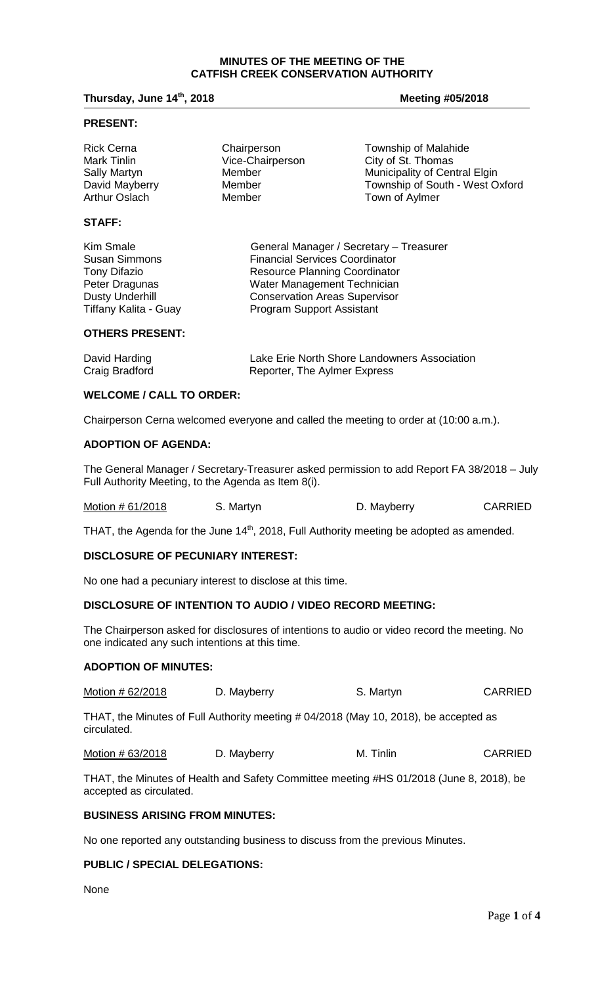#### **MINUTES OF THE MEETING OF THE CATFISH CREEK CONSERVATION AUTHORITY**

**Thursday, June 14<sup>th</sup>, 2018 Meeting #05/2018** 

## **PRESENT:**

**STAFF:**

Rick Cerna **Chairperson** Chairperson Township of Malahide Mark Tinlin Vice-Chairperson City of St. Thomas Sally Martyn **Member** Municipality of Central Elgin<br>
David Mayberry Member **Member** Township of South - West O David Mayberry **Member** Member Township of South - West Oxford Arthur Oslach Town of Aylmer

| Kim Smale              | General Manager / Secretary - Treasurer |
|------------------------|-----------------------------------------|
| <b>Susan Simmons</b>   | <b>Financial Services Coordinator</b>   |
| Tony Difazio           | <b>Resource Planning Coordinator</b>    |
| Peter Dragunas         | Water Management Technician             |
| <b>Dusty Underhill</b> | <b>Conservation Areas Supervisor</b>    |
| Tiffany Kalita - Guay  | <b>Program Support Assistant</b>        |
|                        |                                         |

# **OTHERS PRESENT:**

| David Harding  | Lake Erie North Shore Landowners Association |
|----------------|----------------------------------------------|
| Craig Bradford | Reporter, The Aylmer Express                 |

# **WELCOME / CALL TO ORDER:**

Chairperson Cerna welcomed everyone and called the meeting to order at (10:00 a.m.).

#### **ADOPTION OF AGENDA:**

The General Manager / Secretary-Treasurer asked permission to add Report FA 38/2018 – July Full Authority Meeting, to the Agenda as Item 8(i).

| Motion # 61/2018 | S. Martyn | D. Mayberry | <b>CARRIED</b> |
|------------------|-----------|-------------|----------------|
|------------------|-----------|-------------|----------------|

THAT, the Agenda for the June 14<sup>th</sup>, 2018, Full Authority meeting be adopted as amended.

## **DISCLOSURE OF PECUNIARY INTEREST:**

No one had a pecuniary interest to disclose at this time.

## **DISCLOSURE OF INTENTION TO AUDIO / VIDEO RECORD MEETING:**

The Chairperson asked for disclosures of intentions to audio or video record the meeting. No one indicated any such intentions at this time.

#### **ADOPTION OF MINUTES:**

Motion # 62/2018 D. Mayberry S. Martyn S. Martyn

THAT, the Minutes of Full Authority meeting # 04/2018 (May 10, 2018), be accepted as circulated.

Motion # 63/2018 D. Mayberry M. Tinlin CARRIED

THAT, the Minutes of Health and Safety Committee meeting #HS 01/2018 (June 8, 2018), be accepted as circulated.

# **BUSINESS ARISING FROM MINUTES:**

No one reported any outstanding business to discuss from the previous Minutes.

## **PUBLIC / SPECIAL DELEGATIONS:**

None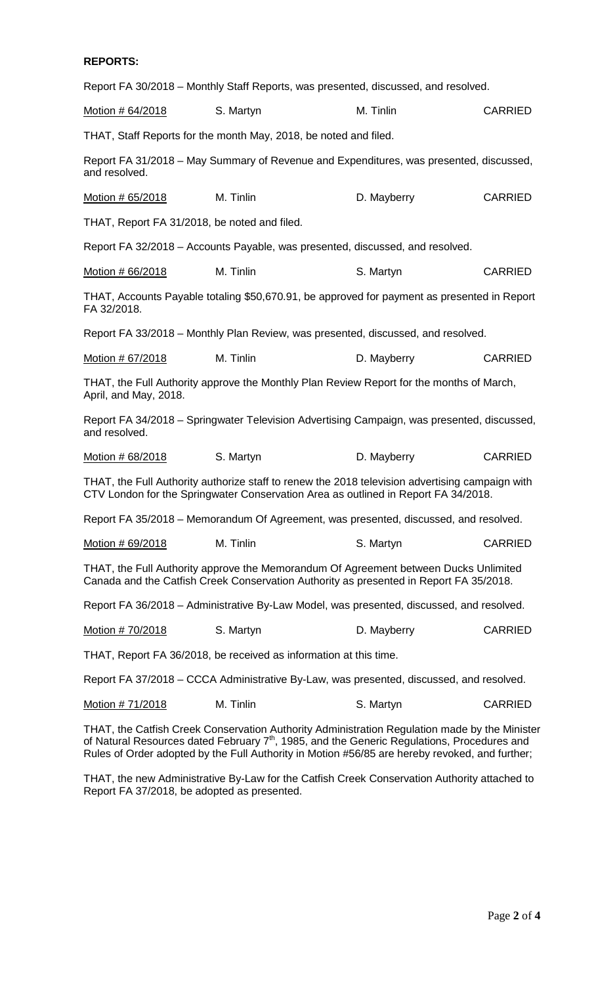## **REPORTS:**

Report FA 30/2018 – Monthly Staff Reports, was presented, discussed, and resolved.

| Motion # 64/2018                                                                                                                                                                      | S. Martyn                                                                              | M. Tinlin   | <b>CARRIED</b> |  |
|---------------------------------------------------------------------------------------------------------------------------------------------------------------------------------------|----------------------------------------------------------------------------------------|-------------|----------------|--|
|                                                                                                                                                                                       | THAT, Staff Reports for the month May, 2018, be noted and filed.                       |             |                |  |
| and resolved.                                                                                                                                                                         | Report FA 31/2018 – May Summary of Revenue and Expenditures, was presented, discussed, |             |                |  |
| Motion # 65/2018                                                                                                                                                                      | M. Tinlin                                                                              | D. Mayberry | <b>CARRIED</b> |  |
| THAT, Report FA 31/2018, be noted and filed.                                                                                                                                          |                                                                                        |             |                |  |
|                                                                                                                                                                                       | Report FA 32/2018 – Accounts Payable, was presented, discussed, and resolved.          |             |                |  |
| Motion # 66/2018                                                                                                                                                                      | M. Tinlin                                                                              | S. Martyn   | <b>CARRIED</b> |  |
| THAT, Accounts Payable totaling \$50,670.91, be approved for payment as presented in Report<br>FA 32/2018.                                                                            |                                                                                        |             |                |  |
| Report FA 33/2018 – Monthly Plan Review, was presented, discussed, and resolved.                                                                                                      |                                                                                        |             |                |  |
| Motion # 67/2018                                                                                                                                                                      | M. Tinlin                                                                              | D. Mayberry | <b>CARRIED</b> |  |
| THAT, the Full Authority approve the Monthly Plan Review Report for the months of March,<br>April, and May, 2018.                                                                     |                                                                                        |             |                |  |
| Report FA 34/2018 – Springwater Television Advertising Campaign, was presented, discussed,<br>and resolved.                                                                           |                                                                                        |             |                |  |
| Motion # 68/2018                                                                                                                                                                      | S. Martyn                                                                              | D. Mayberry | <b>CARRIED</b> |  |
| THAT, the Full Authority authorize staff to renew the 2018 television advertising campaign with<br>CTV London for the Springwater Conservation Area as outlined in Report FA 34/2018. |                                                                                        |             |                |  |

Report FA 35/2018 – Memorandum Of Agreement, was presented, discussed, and resolved.

| Motion # 69/2018 | M. Tinlin | S. Martyn | <b>CARRIED</b> |
|------------------|-----------|-----------|----------------|
|------------------|-----------|-----------|----------------|

THAT, the Full Authority approve the Memorandum Of Agreement between Ducks Unlimited Canada and the Catfish Creek Conservation Authority as presented in Report FA 35/2018.

Report FA 36/2018 – Administrative By-Law Model, was presented, discussed, and resolved.

| Motion # 70/2018 | S. Martyn | D. Mayberry | <b>CARRIED</b> |
|------------------|-----------|-------------|----------------|
|                  |           |             |                |

THAT, Report FA 36/2018, be received as information at this time.

Report FA 37/2018 – CCCA Administrative By-Law, was presented, discussed, and resolved.

|  | Motion #71/2018 | M. Tinlin | S. Martyn | <b>CARRIED</b> |
|--|-----------------|-----------|-----------|----------------|
|--|-----------------|-----------|-----------|----------------|

THAT, the Catfish Creek Conservation Authority Administration Regulation made by the Minister of Natural Resources dated February 7<sup>th</sup>, 1985, and the Generic Regulations, Procedures and Rules of Order adopted by the Full Authority in Motion #56/85 are hereby revoked, and further;

THAT, the new Administrative By-Law for the Catfish Creek Conservation Authority attached to Report FA 37/2018, be adopted as presented.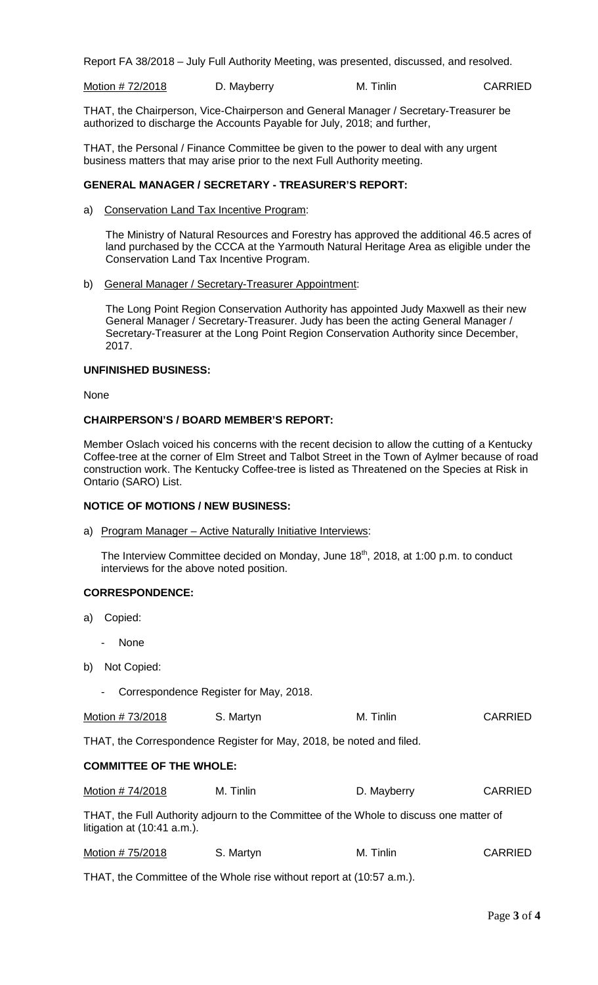Report FA 38/2018 – July Full Authority Meeting, was presented, discussed, and resolved.

Motion # 72/2018 D. Mayberry M. Tinlin CARRIED

THAT, the Chairperson, Vice-Chairperson and General Manager / Secretary-Treasurer be authorized to discharge the Accounts Payable for July, 2018; and further,

THAT, the Personal / Finance Committee be given to the power to deal with any urgent business matters that may arise prior to the next Full Authority meeting.

## **GENERAL MANAGER / SECRETARY - TREASURER'S REPORT:**

a) Conservation Land Tax Incentive Program:

The Ministry of Natural Resources and Forestry has approved the additional 46.5 acres of land purchased by the CCCA at the Yarmouth Natural Heritage Area as eligible under the Conservation Land Tax Incentive Program.

b) General Manager / Secretary-Treasurer Appointment:

The Long Point Region Conservation Authority has appointed Judy Maxwell as their new General Manager / Secretary-Treasurer. Judy has been the acting General Manager / Secretary-Treasurer at the Long Point Region Conservation Authority since December, 2017.

#### **UNFINISHED BUSINESS:**

None

### **CHAIRPERSON'S / BOARD MEMBER'S REPORT:**

Member Oslach voiced his concerns with the recent decision to allow the cutting of a Kentucky Coffee-tree at the corner of Elm Street and Talbot Street in the Town of Aylmer because of road construction work. The Kentucky Coffee-tree is listed as Threatened on the Species at Risk in Ontario (SARO) List.

### **NOTICE OF MOTIONS / NEW BUSINESS:**

a) Program Manager - Active Naturally Initiative Interviews:

The Interview Committee decided on Monday, June  $18<sup>th</sup>$ , 2018, at 1:00 p.m. to conduct interviews for the above noted position.

## **CORRESPONDENCE:**

- a) Copied:
	- None
- b) Not Copied:
	- Correspondence Register for May, 2018.

Motion # 73/2018 S. Martyn M. Tinlin CARRIED

THAT, the Correspondence Register for May, 2018, be noted and filed.

## **COMMITTEE OF THE WHOLE:**

| Motion # 74/2018 | M. Tinlin | D. Mayberry | <b>CARRIED</b> |
|------------------|-----------|-------------|----------------|
|                  |           |             |                |

THAT, the Full Authority adjourn to the Committee of the Whole to discuss one matter of litigation at (10:41 a.m.).

| Motion #75/2018<br>S. Martyn | M. Tinlin | <b>CARRIED</b> |
|------------------------------|-----------|----------------|
|------------------------------|-----------|----------------|

THAT, the Committee of the Whole rise without report at (10:57 a.m.).